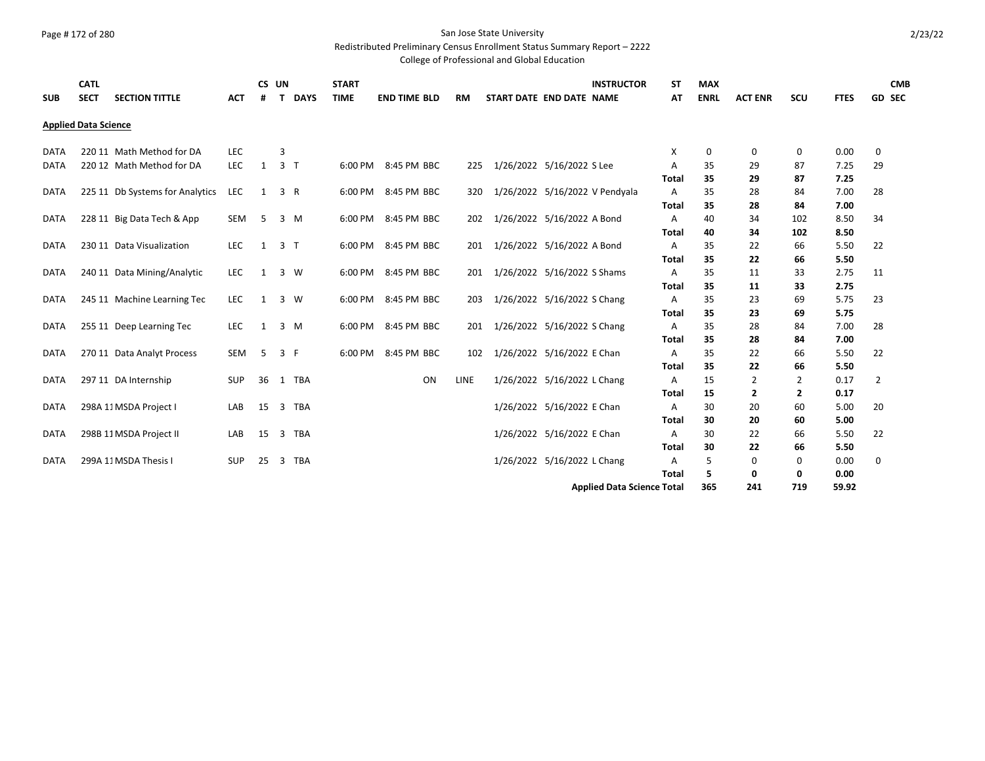# Page #172 of 280 San Jose State University

### Redistributed Preliminary Census Enrollment Status Summary Report – 2222

| <b>SUB</b>  | <b>CATL</b><br><b>SECT</b>  | <b>SECTION TITTLE</b>           | <b>ACT</b> | CS UN<br>#   | T.                      | <b>DAYS</b> | <b>START</b><br><b>TIME</b> | <b>END TIME BLD</b> | <b>RM</b> | START DATE END DATE NAME    |  | <b>INSTRUCTOR</b>                 | <b>ST</b><br>AT | <b>MAX</b><br><b>ENRL</b> | <b>ACT ENR</b> | scu | <b>FTES</b> | <b>CMB</b><br><b>GD SEC</b> |
|-------------|-----------------------------|---------------------------------|------------|--------------|-------------------------|-------------|-----------------------------|---------------------|-----------|-----------------------------|--|-----------------------------------|-----------------|---------------------------|----------------|-----|-------------|-----------------------------|
|             | <b>Applied Data Science</b> |                                 |            |              |                         |             |                             |                     |           |                             |  |                                   |                 |                           |                |     |             |                             |
| <b>DATA</b> |                             | 220 11 Math Method for DA       | <b>LEC</b> |              | 3                       |             |                             |                     |           |                             |  |                                   | Х               | 0                         | 0              | 0   | 0.00        | 0                           |
| <b>DATA</b> |                             | 220 12 Math Method for DA       | <b>LEC</b> | $\mathbf{1}$ | 3 <sub>T</sub>          |             |                             | 6:00 PM 8:45 PM BBC | 225       | 1/26/2022 5/16/2022 S Lee   |  |                                   | Α               | 35                        | 29             | 87  | 7.25        | 29                          |
|             |                             |                                 |            |              |                         |             |                             |                     |           |                             |  |                                   | Total           | 35                        | 29             | 87  | 7.25        |                             |
| <b>DATA</b> |                             | 225 11 Db Systems for Analytics | LEC        | 1            | 3 R                     |             |                             | 6:00 PM 8:45 PM BBC | 320       |                             |  | 1/26/2022 5/16/2022 V Pendyala    | Α               | 35                        | 28             | 84  | 7.00        | 28                          |
|             |                             |                                 |            |              |                         |             |                             |                     |           |                             |  |                                   | Total           | 35                        | 28             | 84  | 7.00        |                             |
| <b>DATA</b> |                             | 228 11 Big Data Tech & App      | SEM        | 5            | 3 M                     |             |                             | 6:00 PM 8:45 PM BBC | 202       | 1/26/2022 5/16/2022 A Bond  |  |                                   | Α               | 40                        | 34             | 102 | 8.50        | 34                          |
|             |                             |                                 |            |              |                         |             |                             |                     |           |                             |  |                                   | <b>Total</b>    | 40                        | 34             | 102 | 8.50        |                             |
| <b>DATA</b> |                             | 230 11 Data Visualization       | <b>LEC</b> | 1            | 3 <sub>T</sub>          |             | 6:00 PM                     | 8:45 PM BBC         | 201       | 1/26/2022 5/16/2022 A Bond  |  |                                   | Α               | 35                        | 22             | 66  | 5.50        | 22                          |
|             |                             |                                 |            |              |                         |             |                             |                     |           |                             |  |                                   | Total           | 35                        | 22             | 66  | 5.50        |                             |
| <b>DATA</b> |                             | 240 11 Data Mining/Analytic     | <b>LEC</b> | 1            | 3 W                     |             |                             | 6:00 PM 8:45 PM BBC | 201       | 1/26/2022 5/16/2022 S Shams |  |                                   | A               | 35                        | 11             | 33  | 2.75        | 11                          |
|             |                             |                                 |            |              |                         |             |                             |                     |           |                             |  |                                   | <b>Total</b>    | 35                        | 11             | 33  | 2.75        |                             |
| <b>DATA</b> |                             | 245 11 Machine Learning Tec     | <b>LEC</b> | 1            | 3 W                     |             | 6:00 PM                     | 8:45 PM BBC         | 203       | 1/26/2022 5/16/2022 S Chang |  |                                   | Α               | 35                        | 23             | 69  | 5.75        | 23                          |
|             |                             |                                 |            |              |                         |             |                             |                     |           |                             |  |                                   | Total           | 35                        | 23             | 69  | 5.75        |                             |
| DATA        |                             | 255 11 Deep Learning Tec        | <b>LEC</b> | 1            | 3 M                     |             | 6:00 PM                     | 8:45 PM BBC         | 201       | 1/26/2022 5/16/2022 S Chang |  |                                   | Α               | 35                        | 28             | 84  | 7.00        | 28                          |
|             |                             |                                 |            |              |                         |             |                             |                     |           |                             |  |                                   | Total           | 35                        | 28             | 84  | 7.00        |                             |
| <b>DATA</b> |                             | 270 11 Data Analyt Process      | <b>SEM</b> | 5            | 3 F                     |             | 6:00 PM                     | 8:45 PM BBC         | 102       | 1/26/2022 5/16/2022 E Chan  |  |                                   | Α               | 35                        | 22             | 66  | 5.50        | 22                          |
|             |                             |                                 |            |              |                         |             |                             |                     |           |                             |  |                                   | <b>Total</b>    | 35                        | 22             | 66  | 5.50        |                             |
| <b>DATA</b> |                             | 297 11 DA Internship            | <b>SUP</b> | 36           |                         | 1 TBA       |                             | ON                  | LINE      | 1/26/2022 5/16/2022 L Chang |  |                                   | Α               | 15                        | 2              | 2   | 0.17        | 2                           |
|             |                             |                                 |            |              |                         |             |                             |                     |           |                             |  |                                   | Total           | 15                        | $\overline{2}$ | 2   | 0.17        |                             |
| <b>DATA</b> |                             | 298A 11 MSDA Project I          | LAB        | 15           |                         | 3 TBA       |                             |                     |           | 1/26/2022 5/16/2022 E Chan  |  |                                   | A               | 30                        | 20             | 60  | 5.00        | 20                          |
|             |                             |                                 |            |              |                         |             |                             |                     |           |                             |  |                                   | <b>Total</b>    | 30                        | 20             | 60  | 5.00        |                             |
| <b>DATA</b> |                             | 298B 11 MSDA Project II         | LAB        | 15           |                         | 3 TBA       |                             |                     |           | 1/26/2022 5/16/2022 E Chan  |  |                                   | Α               | 30                        | 22             | 66  | 5.50        | 22                          |
|             |                             |                                 |            |              |                         |             |                             |                     |           |                             |  |                                   | Total           | 30                        | 22             | 66  | 5.50        |                             |
| <b>DATA</b> |                             | 299A 11 MSDA Thesis I           | <b>SUP</b> | 25           | $\overline{\mathbf{3}}$ | TBA         |                             |                     |           | 1/26/2022 5/16/2022 L Chang |  |                                   | Α               | 5                         | 0              | 0   | 0.00        | 0                           |
|             |                             |                                 |            |              |                         |             |                             |                     |           |                             |  |                                   | <b>Total</b>    | 5                         | 0              | 0   | 0.00        |                             |
|             |                             |                                 |            |              |                         |             |                             |                     |           |                             |  | <b>Applied Data Science Total</b> |                 | 365                       | 241            | 719 | 59.92       |                             |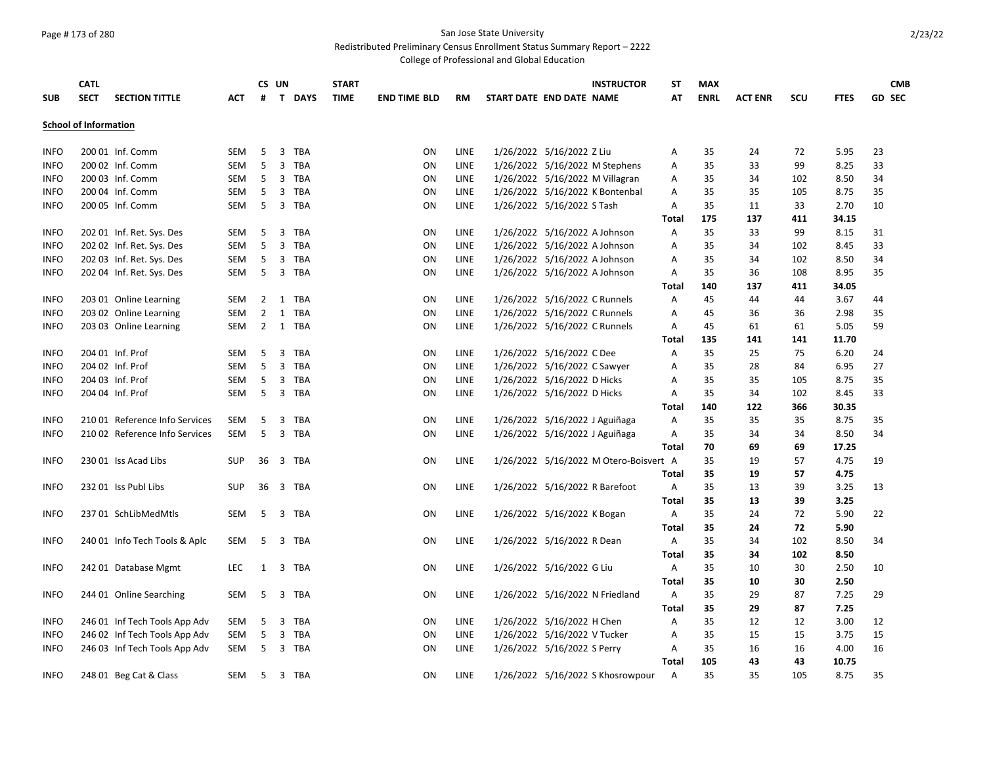# Page #173 of 280 San Jose State University

### Redistributed Preliminary Census Enrollment Status Summary Report – 2222

| <b>SUB</b>                 | <b>CATL</b><br><b>SECT</b>   | <b>SECTION TITTLE</b>                                          | ACT        | #              | CS UN | T DAYS         | <b>START</b><br><b>TIME</b> | <b>END TIME BLD</b> | RM          | START DATE END DATE NAME      | <b>INSTRUCTOR</b>                      | ST<br>AT     | <b>MAX</b><br><b>ENRL</b> | <b>ACT ENR</b> | <b>SCU</b> | <b>FTES</b>  | <b>GD SEC</b> | <b>CMB</b> |
|----------------------------|------------------------------|----------------------------------------------------------------|------------|----------------|-------|----------------|-----------------------------|---------------------|-------------|-------------------------------|----------------------------------------|--------------|---------------------------|----------------|------------|--------------|---------------|------------|
|                            |                              |                                                                |            |                |       |                |                             |                     |             |                               |                                        |              |                           |                |            |              |               |            |
|                            | <b>School of Information</b> |                                                                |            |                |       |                |                             |                     |             |                               |                                        |              |                           |                |            |              |               |            |
| <b>INFO</b>                |                              | 200 01 Inf. Comm                                               | SEM        | 5              |       | 3 TBA          |                             | ON                  | LINE        | 1/26/2022 5/16/2022 Z Liu     |                                        | Α            | 35                        | 24             | 72         | 5.95         | 23            |            |
| <b>INFO</b>                |                              | 200 02 Inf. Comm                                               | <b>SEM</b> | 5              |       | 3 TBA          |                             | ON                  | LINE        |                               | 1/26/2022 5/16/2022 M Stephens         | Α            | 35                        | 33             | 99         | 8.25         | 33            |            |
| <b>INFO</b>                |                              | 200 03 Inf. Comm                                               | SEM        | 5              |       | 3 TBA          |                             | ON                  | LINE        |                               | 1/26/2022 5/16/2022 M Villagran        | Α            | 35                        | 34             | 102        | 8.50         | 34            |            |
| <b>INFO</b>                |                              | 200 04 Inf. Comm                                               | SEM        | 5              |       | 3 TBA          |                             | ON                  | LINE        |                               | 1/26/2022 5/16/2022 K Bontenbal        | Α            | 35                        | 35             | 105        | 8.75         | 35            |            |
| <b>INFO</b>                |                              | 200 05 Inf. Comm                                               | SEM        | - 5            |       | 3 TBA          |                             | ON                  | LINE        | 1/26/2022 5/16/2022 S Tash    |                                        | Α            | 35                        | 11             | 33         | 2.70         | 10            |            |
|                            |                              |                                                                |            |                |       |                |                             |                     |             |                               |                                        | Total        | 175                       | 137            | 411        | 34.15        |               |            |
| <b>INFO</b>                |                              | 202 01 Inf. Ret. Sys. Des                                      | SEM        | 5              |       | 3 TBA          |                             | ON                  | LINE        | 1/26/2022 5/16/2022 A Johnson |                                        | Α            | 35                        | 33             | 99         | 8.15         | 31            |            |
| <b>INFO</b>                |                              | 202 02 Inf. Ret. Sys. Des                                      | SEM        | 5              |       | 3 TBA          |                             | ON                  | LINE        | 1/26/2022 5/16/2022 A Johnson |                                        | Α            | 35                        | 34             | 102        | 8.45         | 33            |            |
| <b>INFO</b>                |                              | 202 03 Inf. Ret. Sys. Des                                      | SEM        | 5              | 3     | TBA            |                             | ON                  | LINE        | 1/26/2022 5/16/2022 A Johnson |                                        | Α            | 35                        | 34             | 102        | 8.50         | 34            |            |
| <b>INFO</b>                |                              | 202 04 Inf. Ret. Sys. Des                                      | SEM        | 5              |       | 3 TBA          |                             | ON                  | LINE        | 1/26/2022 5/16/2022 A Johnson |                                        | Α            | 35                        | 36             | 108        | 8.95         | 35            |            |
|                            |                              |                                                                |            |                |       |                |                             |                     |             |                               |                                        | <b>Total</b> | 140                       | 137            | 411        | 34.05        |               |            |
| <b>INFO</b>                |                              | 203 01 Online Learning                                         | SEM        | $\overline{2}$ | 1     | TBA            |                             | ON                  | LINE        | 1/26/2022 5/16/2022 C Runnels |                                        | Α            | 45                        | 44             | 44         | 3.67         | 44            |            |
| <b>INFO</b>                |                              | 203 02 Online Learning                                         | SEM        | 2              |       | 1 TBA          |                             | ON                  | LINE        | 1/26/2022 5/16/2022 C Runnels |                                        | Α            | 45                        | 36             | 36         | 2.98         | 35            |            |
| <b>INFO</b>                |                              | 203 03 Online Learning                                         | SEM        |                |       | 2 1 TBA        |                             | ON                  | <b>LINE</b> | 1/26/2022 5/16/2022 C Runnels |                                        | Α            | 45                        | 61             | 61         | 5.05         | 59            |            |
|                            |                              |                                                                |            |                |       |                |                             |                     |             |                               |                                        | Total        | 135                       | 141            | 141        | 11.70        |               |            |
| <b>INFO</b>                |                              | 204 01 Inf. Prof                                               | SEM        | 5              | 3     | TBA            |                             | ON                  | LINE        | 1/26/2022 5/16/2022 C Dee     |                                        | Α            | 35                        | 25             | 75         | 6.20         | 24            |            |
| <b>INFO</b>                |                              | 204 02 Inf. Prof                                               | <b>SEM</b> | 5              |       | 3 TBA          |                             | ON                  | LINE        | 1/26/2022 5/16/2022 C Sawyer  |                                        | Α            | 35                        | 28             | 84         | 6.95         | 27            |            |
| <b>INFO</b>                |                              | 204 03 Inf. Prof                                               | SEM        | 5              |       | 3 TBA          |                             | ON                  | LINE        | 1/26/2022 5/16/2022 D Hicks   |                                        | Α            | 35                        | 35             | 105        | 8.75         | 35            |            |
| <b>INFO</b>                |                              | 204 04 Inf. Prof                                               | SEM        | 5              |       | 3 TBA          |                             | ON                  | LINE        | 1/26/2022 5/16/2022 D Hicks   |                                        | Α            | 35                        | 34             | 102        | 8.45         | 33            |            |
|                            |                              |                                                                |            |                |       |                |                             |                     |             |                               |                                        | Total        | 140                       | 122            | 366        | 30.35        |               |            |
| <b>INFO</b>                |                              | 210 01 Reference Info Services                                 | SEM        | 5              | 3     | TBA            |                             | ON                  | LINE        |                               | 1/26/2022 5/16/2022 J Aguiñaga         | Α            | 35                        | 35             | 35         | 8.75         | 35            |            |
| <b>INFO</b>                |                              | 21002 Reference Info Services                                  | SEM        | 5              |       | 3 TBA          |                             | ON                  | LINE        |                               | 1/26/2022 5/16/2022 J Aguiñaga         | Α            | 35                        | 34             | 34         | 8.50         | 34            |            |
|                            |                              |                                                                |            |                |       |                |                             |                     |             |                               |                                        | <b>Total</b> | 70                        | 69             | 69         | 17.25        |               |            |
| <b>INFO</b>                |                              | 230 01 Iss Acad Libs                                           | <b>SUP</b> | 36             |       | 3 TBA          |                             | ON                  | LINE        |                               | 1/26/2022 5/16/2022 M Otero-Boisvert A |              | 35                        | 19             | 57         | 4.75         | 19            |            |
|                            |                              |                                                                |            |                |       |                |                             |                     |             |                               |                                        | Total        | 35                        | 19             | 57         | 4.75         |               |            |
| <b>INFO</b>                |                              | 232 01 Iss Publ Libs                                           | <b>SUP</b> | 36             |       | 3 TBA          |                             | ON                  | LINE        |                               | 1/26/2022 5/16/2022 R Barefoot         | Α            | 35                        | 13             | 39         | 3.25         | 13            |            |
|                            |                              |                                                                |            |                |       |                |                             |                     |             |                               |                                        | Total        | 35                        | 13             | 39         | 3.25         |               |            |
| <b>INFO</b>                |                              | 237 01 SchLibMedMtls                                           | SEM        | 5              |       | 3 TBA          |                             | ON                  | LINE        | 1/26/2022 5/16/2022 K Bogan   |                                        | Α            | 35                        | 24             | 72         | 5.90         | 22            |            |
|                            |                              |                                                                |            |                |       |                |                             |                     |             |                               |                                        | <b>Total</b> | 35                        | 24             | 72         | 5.90         |               |            |
| <b>INFO</b>                |                              | 240 01 Info Tech Tools & Aplc                                  | SEM        | 5              |       | 3 TBA          |                             | ON                  | LINE        | 1/26/2022 5/16/2022 R Dean    |                                        | Α            | 35                        | 34             | 102        | 8.50         | 34            |            |
|                            |                              |                                                                |            |                |       |                |                             |                     |             |                               |                                        | Total        | 35                        | 34             | 102        | 8.50         |               |            |
| <b>INFO</b>                |                              | 242 01 Database Mgmt                                           | <b>LEC</b> | 1              |       | 3 TBA          |                             | ON                  | LINE        | 1/26/2022 5/16/2022 G Liu     |                                        | Α            | 35                        | 10             | 30         | 2.50         | 10            |            |
|                            |                              |                                                                |            |                |       |                |                             |                     |             |                               |                                        | Total        | 35                        | 10<br>29       | 30         | 2.50         |               |            |
| <b>INFO</b>                |                              | 244 01 Online Searching                                        | SEM        | 5              |       | 3 TBA          |                             | ON                  | LINE        |                               | 1/26/2022 5/16/2022 N Friedland        | Α            | 35<br>35                  | 29             | 87         | 7.25<br>7.25 | 29            |            |
|                            |                              |                                                                |            |                |       |                |                             | ON                  | LINE        | 1/26/2022 5/16/2022 H Chen    |                                        | Total<br>Α   | 35                        | 12             | 87         | 3.00         |               |            |
| <b>INFO</b><br><b>INFO</b> |                              | 246 01 Inf Tech Tools App Adv<br>246 02 Inf Tech Tools App Adv | SEM<br>SEM | 5<br>5         |       | 3 TBA<br>3 TBA |                             | ON                  | LINE        | 1/26/2022 5/16/2022 V Tucker  |                                        | Α            | 35                        | 15             | 12<br>15   | 3.75         | 12<br>15      |            |
| <b>INFO</b>                |                              |                                                                | SEM        | -5             |       | 3 TBA          |                             | ON                  | <b>LINE</b> | 1/26/2022 5/16/2022 S Perry   |                                        | A            | 35                        | 16             | 16         | 4.00         | 16            |            |
|                            |                              | 246 03 Inf Tech Tools App Adv                                  |            |                |       |                |                             |                     |             |                               |                                        | Total        | 105                       | 43             | 43         | 10.75        |               |            |
| <b>INFO</b>                |                              | 248 01 Beg Cat & Class                                         | SEM        | -5             |       | 3 TBA          |                             | <b>ON</b>           | <b>LINE</b> |                               | 1/26/2022 5/16/2022 S Khosrowpour      | A            | 35                        | 35             | 105        | 8.75         | 35            |            |
|                            |                              |                                                                |            |                |       |                |                             |                     |             |                               |                                        |              |                           |                |            |              |               |            |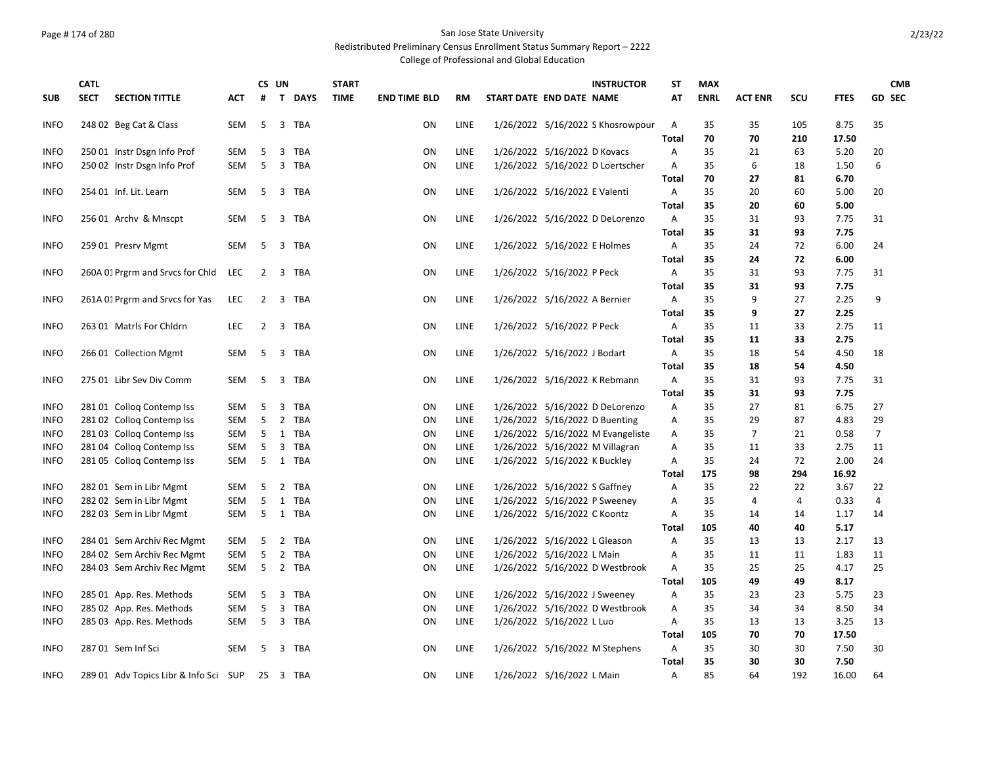# Page #174 of 280 San Jose State University

### Redistributed Preliminary Census Enrollment Status Summary Report – 2222

|             | <b>CATL</b>                           |            | CS UN          |   |            | <b>START</b> |                     |           | <b>INSTRUCTOR</b>                 | <b>ST</b>    | <b>MAX</b>  |                |     |             | <b>CMB</b>     |
|-------------|---------------------------------------|------------|----------------|---|------------|--------------|---------------------|-----------|-----------------------------------|--------------|-------------|----------------|-----|-------------|----------------|
| <b>SUB</b>  | <b>SECT</b><br><b>SECTION TITTLE</b>  | АСТ        | #              |   | T DAYS     | <b>TIME</b>  | <b>END TIME BLD</b> | <b>RM</b> | START DATE END DATE NAME          | AT           | <b>ENRL</b> | <b>ACT ENR</b> | scu | <b>FTES</b> | <b>GD SEC</b>  |
| <b>INFO</b> | 248 02 Beg Cat & Class                | <b>SEM</b> | 5              |   | 3 TBA      |              | ON                  | LINE      | 1/26/2022 5/16/2022 S Khosrowpour | Α            | 35          | 35             | 105 | 8.75        | 35             |
|             |                                       |            |                |   |            |              |                     |           |                                   | <b>Total</b> | 70          | 70             | 210 | 17.50       |                |
| <b>INFO</b> | 250 01 Instr Dsgn Info Prof           | <b>SEM</b> | 5              | 3 | <b>TBA</b> |              | ON                  | LINE      | 1/26/2022 5/16/2022 D Kovacs      | Α            | 35          | 21             | 63  | 5.20        | 20             |
| <b>INFO</b> | 250 02 Instr Dsgn Info Prof           | <b>SEM</b> | 5              |   | 3 TBA      |              | ON                  | LINE      | 1/26/2022 5/16/2022 D Loertscher  | Α            | 35          | 6              | 18  | 1.50        | 6              |
|             |                                       |            |                |   |            |              |                     |           |                                   | Total        | 70          | 27             | 81  | 6.70        |                |
| <b>INFO</b> | 254 01 Inf. Lit. Learn                | <b>SEM</b> | -5             |   | 3 TBA      |              | ON                  | LINE      | 1/26/2022 5/16/2022 E Valenti     | Α            | 35          | 20             | 60  | 5.00        | 20             |
|             |                                       |            |                |   |            |              |                     |           |                                   | <b>Total</b> | 35          | 20             | 60  | 5.00        |                |
| <b>INFO</b> | 256 01 Archy & Mnscpt                 | SEM        | 5              |   | 3 TBA      |              | ON                  | LINE      | 1/26/2022 5/16/2022 D DeLorenzo   | Α            | 35          | 31             | 93  | 7.75        | 31             |
|             |                                       |            |                |   |            |              |                     |           |                                   | <b>Total</b> | 35          | 31             | 93  | 7.75        |                |
| <b>INFO</b> | 259 01 Presrv Mgmt                    | SEM        | -5             |   | 3 TBA      |              | ON                  | LINE      | 1/26/2022 5/16/2022 E Holmes      | Α            | 35          | 24             | 72  | 6.00        | 24             |
|             |                                       |            |                |   |            |              |                     |           |                                   | <b>Total</b> | 35          | 24             | 72  | 6.00        |                |
| <b>INFO</b> | 260A 01 Prgrm and Srvcs for Chld      | LEC        | $\overline{2}$ |   | 3 TBA      |              | ON                  | LINE      | 1/26/2022 5/16/2022 P Peck        | Α            | 35          | 31             | 93  | 7.75        | 31             |
|             |                                       |            |                |   |            |              |                     |           |                                   | <b>Total</b> | 35          | 31             | 93  | 7.75        |                |
| <b>INFO</b> | 261A 01 Prgrm and Srvcs for Yas       | <b>LEC</b> | $\overline{2}$ |   | 3 TBA      |              | ON                  | LINE      | 1/26/2022 5/16/2022 A Bernier     | Α            | 35          | 9              | 27  | 2.25        | 9              |
|             |                                       |            |                |   |            |              |                     |           |                                   | Total        | 35          | 9              | 27  | 2.25        |                |
| <b>INFO</b> | 263 01 Matrls For Chldrn              | <b>LEC</b> | 2              | 3 | TBA        |              | ON                  | LINE      | 1/26/2022 5/16/2022 P Peck        | Α            | 35          | 11             | 33  | 2.75        | 11             |
|             |                                       |            |                |   |            |              |                     |           |                                   | <b>Total</b> | 35          | 11             | 33  | 2.75        |                |
| <b>INFO</b> | 266 01 Collection Mgmt                | SEM        | 5              |   | 3 TBA      |              | ON                  | LINE      | 1/26/2022 5/16/2022 J Bodart      | Α            | 35          | 18             | 54  | 4.50        | 18             |
|             |                                       |            |                |   |            |              |                     |           |                                   | Total        | 35          | 18             | 54  | 4.50        |                |
| <b>INFO</b> | 275 01 Libr Sev Div Comm              | <b>SEM</b> | 5              |   | 3 TBA      |              | ON                  | LINE      | 1/26/2022 5/16/2022 K Rebmann     | A            | 35          | 31             | 93  | 7.75        | 31             |
|             |                                       |            |                |   |            |              |                     |           |                                   | Total        | 35          | 31             | 93  | 7.75        |                |
| <b>INFO</b> | 28101 Collog Contemp Iss              | SEM        | 5              | 3 | TBA        |              | ON                  | LINE      | 1/26/2022 5/16/2022 D DeLorenzo   | A            | 35          | 27             | 81  | 6.75        | 27             |
| <b>INFO</b> | 281 02 Collog Contemp Iss             | <b>SEM</b> | 5              |   | 2 TBA      |              | ON                  | LINE      | 1/26/2022 5/16/2022 D Buenting    | Α            | 35          | 29             | 87  | 4.83        | 29             |
| <b>INFO</b> | 281 03 Colloq Contemp Iss             | SEM        | 5              |   | 1 TBA      |              | ON                  | LINE      | 1/26/2022 5/16/2022 M Evangeliste | Α            | 35          | $\overline{7}$ | 21  | 0.58        | $\overline{7}$ |
| <b>INFO</b> | 281 04 Collog Contemp Iss             | SEM        | 5              | 3 | TBA        |              | ON                  | LINE      | 1/26/2022 5/16/2022 M Villagran   | Α            | 35          | 11             | 33  | 2.75        | 11             |
| <b>INFO</b> | 281 05 Collog Contemp Iss             | SEM        | 5              |   | 1 TBA      |              | ON                  | LINE      | 1/26/2022 5/16/2022 K Buckley     | Α            | 35          | 24             | 72  | 2.00        | 24             |
|             |                                       |            |                |   |            |              |                     |           |                                   | Total        | 175         | 98             | 294 | 16.92       |                |
| <b>INFO</b> | 282 01 Sem in Libr Mgmt               | SEM        | 5              | 2 | TBA        |              | ON                  | LINE      | 1/26/2022 5/16/2022 S Gaffney     | A            | 35          | 22             | 22  | 3.67        | 22             |
| <b>INFO</b> | 282 02 Sem in Libr Mgmt               | SEM        | 5              |   | 1 TBA      |              | ON                  | LINE      | 1/26/2022 5/16/2022 P Sweeney     | Α            | 35          | 4              | 4   | 0.33        | 4              |
| <b>INFO</b> | 282 03 Sem in Libr Mgmt               | <b>SEM</b> | 5              |   | 1 TBA      |              | ON                  | LINE      | 1/26/2022 5/16/2022 C Koontz      | Α            | 35          | 14             | 14  | 1.17        | 14             |
|             |                                       |            |                |   |            |              |                     |           |                                   | <b>Total</b> | 105         | 40             | 40  | 5.17        |                |
| <b>INFO</b> | 284 01 Sem Archiv Rec Mgmt            | SEM        | 5              |   | 2 TBA      |              | ON                  | LINE      | 1/26/2022 5/16/2022 L Gleason     | Α            | 35          | 13             | 13  | 2.17        | 13             |
| <b>INFO</b> | 284 02 Sem Archiv Rec Mgmt            | <b>SEM</b> | 5              |   | 2 TBA      |              | ON                  | LINE      | 1/26/2022 5/16/2022 L Main        | Α            | 35          | 11             | 11  | 1.83        | 11             |
| <b>INFO</b> | 284 03 Sem Archiv Rec Mgmt            | SEM        | -5             |   | 2 TBA      |              | ON                  | LINE      | 1/26/2022 5/16/2022 D Westbrook   | Α            | 35          | 25             | 25  | 4.17        | 25             |
|             |                                       |            |                |   |            |              |                     |           |                                   | Total        | 105         | 49             | 49  | 8.17        |                |
| <b>INFO</b> | 285 01 App. Res. Methods              | SEM        | 5              | 3 | <b>TBA</b> |              | ON                  | LINE      | 1/26/2022 5/16/2022 J Sweeney     | Α            | 35          | 23             | 23  | 5.75        | 23             |
| <b>INFO</b> | 285 02 App. Res. Methods              | <b>SEM</b> | 5              | 3 | TBA        |              | ON                  | LINE      | 1/26/2022 5/16/2022 D Westbrook   | Α            | 35          | 34             | 34  | 8.50        | 34             |
| <b>INFO</b> | 285 03 App. Res. Methods              | SEM        | 5              |   | 3 TBA      |              | ON                  | LINE      | 1/26/2022 5/16/2022 L Luo         | Α            | 35          | 13             | 13  | 3.25        | 13             |
|             |                                       |            |                |   |            |              |                     |           |                                   | Total        | 105         | 70             | 70  | 17.50       |                |
| <b>INFO</b> | 287 01 Sem Inf Sci                    | <b>SEM</b> | -5             |   | 3 TBA      |              | ON                  | LINE      | 1/26/2022 5/16/2022 M Stephens    | A            | 35          | 30             | 30  | 7.50        | 30             |
|             |                                       |            |                |   |            |              |                     |           |                                   | <b>Total</b> | 35          | 30             | 30  | 7.50        |                |
| <b>INFO</b> | 289 01 Adv Topics Libr & Info Sci SUP |            |                |   | 25 3 TBA   |              | ON                  | LINE      | 1/26/2022 5/16/2022 L Main        | Α            | 85          | 64             | 192 | 16.00       | 64             |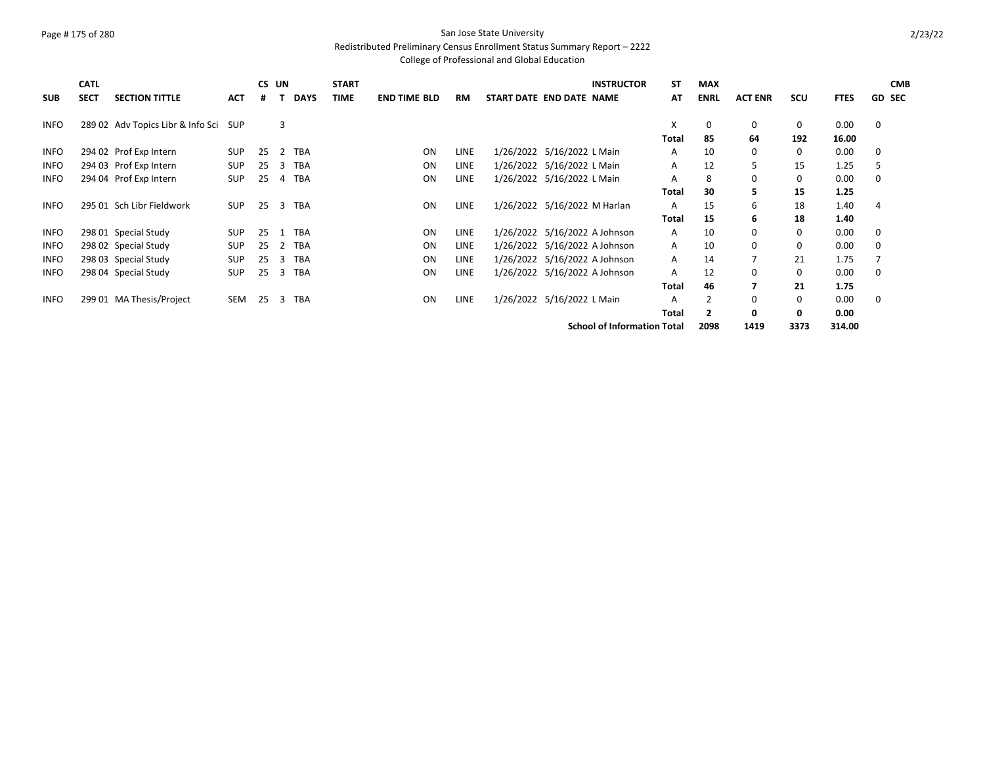# Page #175 of 280 San Jose State University

#### Redistributed Preliminary Census Enrollment Status Summary Report – 2222

|             | <b>CATL</b> |                                       |            |    | CS UN |             | <b>START</b> |                     |             | <b>INSTRUCTOR</b>                  | <b>ST</b> | <b>MAX</b>     |                |      |             |   | <b>CMB</b>    |
|-------------|-------------|---------------------------------------|------------|----|-------|-------------|--------------|---------------------|-------------|------------------------------------|-----------|----------------|----------------|------|-------------|---|---------------|
| <b>SUB</b>  | <b>SECT</b> | <b>SECTION TITTLE</b>                 | <b>ACT</b> | #  |       | <b>DAYS</b> | <b>TIME</b>  | <b>END TIME BLD</b> | <b>RM</b>   | START DATE END DATE NAME           | AT        | <b>ENRL</b>    | <b>ACT ENR</b> | scu  | <b>FTES</b> |   | <b>GD SEC</b> |
| <b>INFO</b> |             | 289 02 Adv Topics Libr & Info Sci SUP |            |    | 3     |             |              |                     |             |                                    | X         | 0              | 0              | 0    | 0.00        | 0 |               |
|             |             |                                       |            |    |       |             |              |                     |             |                                    | Total     | 85             | 64             | 192  | 16.00       |   |               |
| <b>INFO</b> |             | 294 02 Prof Exp Intern                | <b>SUP</b> | 25 | 2     | <b>TBA</b>  |              | ON                  | <b>LINE</b> | 1/26/2022 5/16/2022 L Main         | A         | 10             | 0              | 0    | 0.00        | 0 |               |
| <b>INFO</b> |             | 294 03 Prof Exp Intern                | SUP        | 25 | 3     | <b>TBA</b>  |              | <b>ON</b>           | <b>LINE</b> | 1/26/2022 5/16/2022 L Main         | A         | 12             | 5              | 15   | 1.25        | 5 |               |
| INFO        |             | 294 04 Prof Exp Intern                | <b>SUP</b> | 25 | 4     | <b>TBA</b>  |              | ON                  | <b>LINE</b> | 1/26/2022 5/16/2022 L Main         | A         | 8              | 0              | 0    | 0.00        | 0 |               |
|             |             |                                       |            |    |       |             |              |                     |             |                                    | Total     | 30             | 5.             | 15   | 1.25        |   |               |
| <b>INFO</b> |             | 295 01 Sch Libr Fieldwork             | <b>SUP</b> | 25 |       | 3 TBA       |              | ON                  | <b>LINE</b> | 1/26/2022 5/16/2022 M Harlan       | A         | 15             | 6              | 18   | 1.40        | 4 |               |
|             |             |                                       |            |    |       |             |              |                     |             |                                    | Total     | 15             | 6              | 18   | 1.40        |   |               |
| <b>INFO</b> |             | 298 01 Special Study                  | SUP        | 25 | 1     | <b>TBA</b>  |              | ON                  | <b>LINE</b> | 1/26/2022 5/16/2022 A Johnson      | A         | 10             | 0              | 0    | 0.00        | 0 |               |
| <b>INFO</b> |             | 298 02 Special Study                  | <b>SUP</b> | 25 | 2     | <b>TBA</b>  |              | ON                  | <b>LINE</b> | 1/26/2022 5/16/2022 A Johnson      | Α         | 10             | 0              | 0    | 0.00        | 0 |               |
| <b>INFO</b> |             | 298 03 Special Study                  | <b>SUP</b> | 25 | 3     | <b>TBA</b>  |              | ON                  | <b>LINE</b> | 1/26/2022 5/16/2022 A Johnson      | Α         | 14             |                | 21   | 1.75        |   |               |
| INFO        |             | 298 04 Special Study                  | <b>SUP</b> | 25 | 3     | TBA         |              | ON                  | <b>LINE</b> | 1/26/2022 5/16/2022 A Johnson      | A         | 12             | 0              | 0    | 0.00        | 0 |               |
|             |             |                                       |            |    |       |             |              |                     |             |                                    | Total     | 46             |                | 21   | 1.75        |   |               |
| <b>INFO</b> |             | 299 01 MA Thesis/Project              | SEM        | 25 | 3     | TBA         |              | ON                  | LINE        | 1/26/2022 5/16/2022 L Main         | A         |                | 0              | 0    | 0.00        | 0 |               |
|             |             |                                       |            |    |       |             |              |                     |             |                                    | Total     | $\overline{2}$ | 0              | 0    | 0.00        |   |               |
|             |             |                                       |            |    |       |             |              |                     |             | <b>School of Information Total</b> |           | 2098           | 1419           | 3373 | 314.00      |   |               |